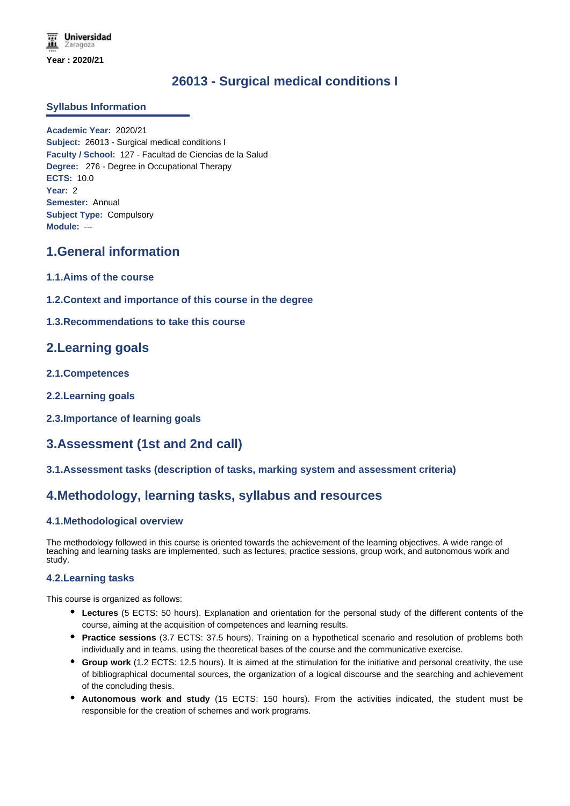# **26013 - Surgical medical conditions I**

### **Syllabus Information**

**Academic Year:** 2020/21 **Subject:** 26013 - Surgical medical conditions I **Faculty / School:** 127 - Facultad de Ciencias de la Salud **Degree:** 276 - Degree in Occupational Therapy **ECTS:** 10.0 **Year:** 2 **Semester:** Annual **Subject Type:** Compulsory **Module:** ---

# **1.General information**

- **1.1.Aims of the course**
- **1.2.Context and importance of this course in the degree**
- **1.3.Recommendations to take this course**

# **2.Learning goals**

- **2.1.Competences**
- **2.2.Learning goals**
- **2.3.Importance of learning goals**

# **3.Assessment (1st and 2nd call)**

### **3.1.Assessment tasks (description of tasks, marking system and assessment criteria)**

# **4.Methodology, learning tasks, syllabus and resources**

### **4.1.Methodological overview**

The methodology followed in this course is oriented towards the achievement of the learning objectives. A wide range of teaching and learning tasks are implemented, such as lectures, practice sessions, group work, and autonomous work and study.

### **4.2.Learning tasks**

This course is organized as follows:

- **Lectures** (5 ECTS: 50 hours). Explanation and orientation for the personal study of the different contents of the course, aiming at the acquisition of competences and learning results.
- **Practice sessions** (3.7 ECTS: 37.5 hours). Training on a hypothetical scenario and resolution of problems both individually and in teams, using the theoretical bases of the course and the communicative exercise.
- **Group work** (1.2 ECTS: 12.5 hours). It is aimed at the stimulation for the initiative and personal creativity, the use of bibliographical documental sources, the organization of a logical discourse and the searching and achievement of the concluding thesis.
- **Autonomous work and study** (15 ECTS: 150 hours). From the activities indicated, the student must be responsible for the creation of schemes and work programs.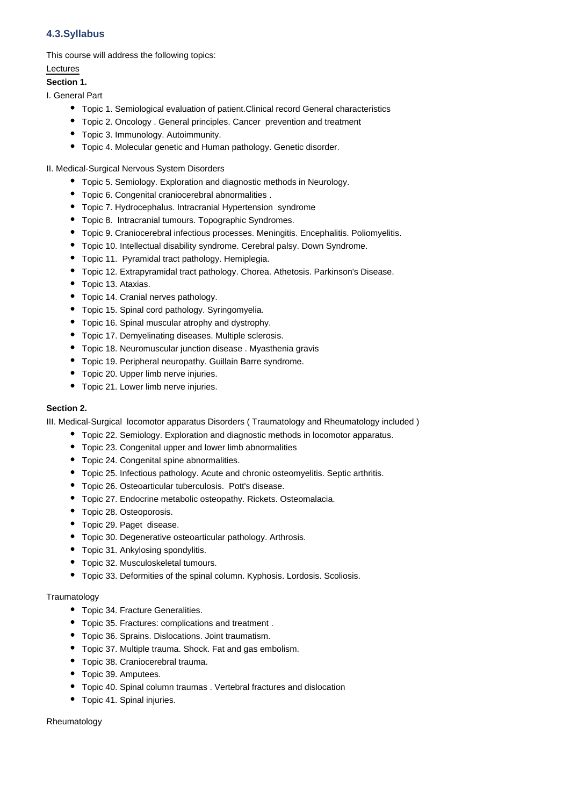## **4.3.Syllabus**

This course will address the following topics:

### Lectures

### **Section 1.**

I. General Part

- Topic 1. Semiological evaluation of patient.Clinical record General characteristics
- Topic 2. Oncology . General principles. Cancer prevention and treatment
- Topic 3. Immunology. Autoimmunity.
- Topic 4. Molecular genetic and Human pathology. Genetic disorder.
- II. Medical-Surgical Nervous System Disorders
	- Topic 5. Semiology. Exploration and diagnostic methods in Neurology.
	- Topic 6. Congenital craniocerebral abnormalities .
	- Topic 7. Hydrocephalus. Intracranial Hypertension syndrome
	- Topic 8. Intracranial tumours. Topographic Syndromes.
	- Topic 9. Craniocerebral infectious processes. Meningitis. Encephalitis. Poliomyelitis.
	- Topic 10. Intellectual disability syndrome. Cerebral palsy. Down Syndrome.
	- Topic 11. Pyramidal tract pathology. Hemiplegia.
	- Topic 12. Extrapyramidal tract pathology. Chorea. Athetosis. Parkinson's Disease.
	- Topic 13. Ataxias.
	- Topic 14. Cranial nerves pathology.
	- Topic 15. Spinal cord pathology. Syringomyelia.
	- Topic 16. Spinal muscular atrophy and dystrophy.
	- Topic 17. Demyelinating diseases. Multiple sclerosis.
	- Topic 18. Neuromuscular junction disease . Myasthenia gravis
	- Topic 19. Peripheral neuropathy. Guillain Barre syndrome.
	- Topic 20. Upper limb nerve injuries.
	- Topic 21. Lower limb nerve injuries.

### **Section 2.**

III. Medical-Surgical locomotor apparatus Disorders ( Traumatology and Rheumatology included )

- Topic 22. Semiology. Exploration and diagnostic methods in locomotor apparatus.
- Topic 23. Congenital upper and lower limb abnormalities
- Topic 24. Congenital spine abnormalities.
- Topic 25. Infectious pathology. Acute and chronic osteomyelitis. Septic arthritis.
- Topic 26. Osteoarticular tuberculosis. Pott's disease.
- Topic 27. Endocrine metabolic osteopathy. Rickets. Osteomalacia.
- Topic 28. Osteoporosis.
- Topic 29. Paget disease.
- Topic 30. Degenerative osteoarticular pathology. Arthrosis.
- Topic 31. Ankylosing spondylitis.
- Topic 32. Musculoskeletal tumours.
- Topic 33. Deformities of the spinal column. Kyphosis. Lordosis. Scoliosis.

### **Traumatology**

- Topic 34. Fracture Generalities.
- Topic 35. Fractures: complications and treatment .
- Topic 36. Sprains. Dislocations. Joint traumatism.
- Topic 37. Multiple trauma. Shock. Fat and gas embolism.
- Topic 38. Craniocerebral trauma.
- Topic 39. Amputees.
- Topic 40. Spinal column traumas . Vertebral fractures and dislocation
- Topic 41. Spinal injuries.

#### Rheumatology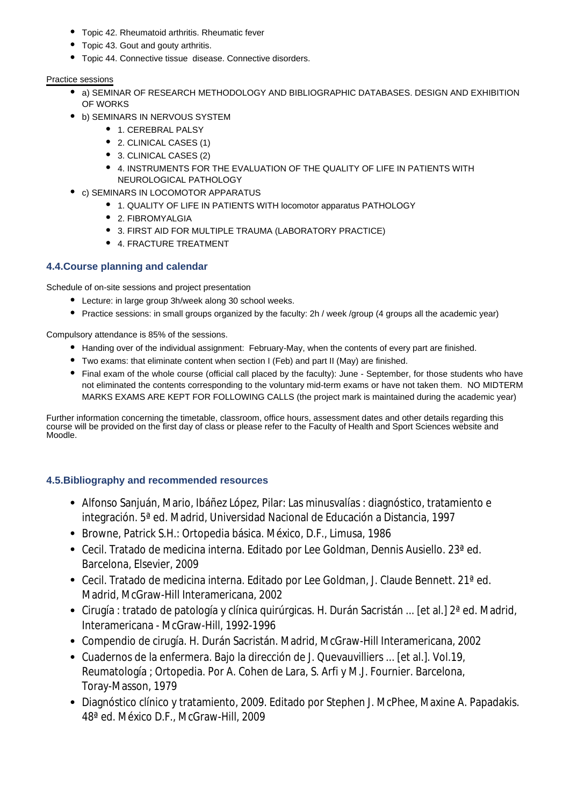- Topic 42. Rheumatoid arthritis. Rheumatic fever
- Topic 43. Gout and gouty arthritis.
- Topic 44. Connective tissue disease. Connective disorders.

## Practice sessions

- a) SEMINAR OF RESEARCH METHODOLOGY AND BIBLIOGRAPHIC DATABASES. DESIGN AND EXHIBITION OF WORKS
- b) SEMINARS IN NERVOUS SYSTEM
	- $\bullet$  1. CEREBRAL PALSY
	- 2. CLINICAL CASES (1)
	- 3. CLINICAL CASES (2)
	- 4. INSTRUMENTS FOR THE EVALUATION OF THE QUALITY OF LIFE IN PATIENTS WITH NEUROLOGICAL PATHOLOGY
- c) SEMINARS IN LOCOMOTOR APPARATUS
	- 1. QUALITY OF LIFE IN PATIENTS WITH locomotor apparatus PATHOLOGY
	- 2. FIBROMYALGIA
	- 3. FIRST AID FOR MULTIPLE TRAUMA (LABORATORY PRACTICE)
	- 4. FRACTURE TREATMENT

# **4.4.Course planning and calendar**

Schedule of on-site sessions and project presentation

- Lecture: in large group 3h/week along 30 school weeks.
- Practice sessions: in small groups organized by the faculty: 2h / week /group (4 groups all the academic year)

Compulsory attendance is 85% of the sessions.

- Handing over of the individual assignment: February-May, when the contents of every part are finished.
- Two exams: that eliminate content when section I (Feb) and part II (May) are finished.
- Final exam of the whole course (official call placed by the faculty): June September, for those students who have not eliminated the contents corresponding to the voluntary mid-term exams or have not taken them. NO MIDTERM MARKS EXAMS ARE KEPT FOR FOLLOWING CALLS (the project mark is maintained during the academic year)

Further information concerning the timetable, classroom, office hours, assessment dates and other details regarding this course will be provided on the first day of class or please refer to the Faculty of Health and Sport Sciences website and Moodle.

# **4.5.Bibliography and recommended resources**

- Alfonso Sanjuán, Mario, Ibáñez López, Pilar: Las minusvalías : diagnóstico, tratamiento e integración. 5ª ed. Madrid, Universidad Nacional de Educación a Distancia, 1997
- Browne, Patrick S.H.: Ortopedia básica. México, D.F., Limusa, 1986
- Cecil. Tratado de medicina interna. Editado por Lee Goldman, Dennis Ausiello. 23ª ed. Barcelona, Elsevier, 2009
- Cecil. Tratado de medicina interna. Editado por Lee Goldman, J. Claude Bennett. 21ª ed. Madrid, McGraw-Hill Interamericana, 2002
- Cirugía : tratado de patología y clínica quirúrgicas. H. Durán Sacristán ... [et al.] 2ª ed. Madrid, Interamericana - McGraw-Hill, 1992-1996
- Compendio de cirugía. H. Durán Sacristán. Madrid, McGraw-Hill Interamericana, 2002
- Cuadernos de la enfermera. Bajo la dirección de J. Quevauvilliers ... [et al.]. Vol.19, Reumatología ; Ortopedia. Por A. Cohen de Lara, S. Arfi y M.J. Fournier. Barcelona, Toray-Masson, 1979
- Diagnóstico clínico y tratamiento, 2009. Editado por Stephen J. McPhee, Maxine A. Papadakis. 48ª ed. México D.F., McGraw-Hill, 2009